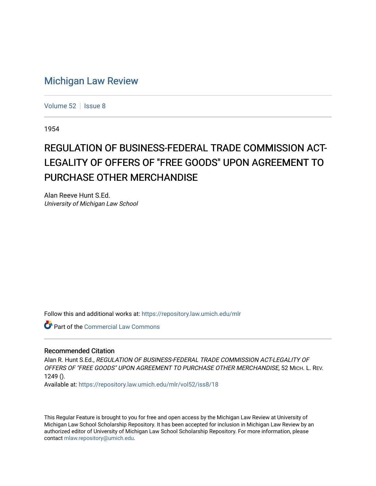## [Michigan Law Review](https://repository.law.umich.edu/mlr)

[Volume 52](https://repository.law.umich.edu/mlr/vol52) | [Issue 8](https://repository.law.umich.edu/mlr/vol52/iss8)

1954

## REGULATION OF BUSINESS-FEDERAL TRADE COMMISSION ACT-LEGALITY OF OFFERS OF "FREE GOODS" UPON AGREEMENT TO PURCHASE OTHER MERCHANDISE

Alan Reeve Hunt S.Ed. University of Michigan Law School

Follow this and additional works at: [https://repository.law.umich.edu/mlr](https://repository.law.umich.edu/mlr?utm_source=repository.law.umich.edu%2Fmlr%2Fvol52%2Fiss8%2F18&utm_medium=PDF&utm_campaign=PDFCoverPages) 

Part of the [Commercial Law Commons](http://network.bepress.com/hgg/discipline/586?utm_source=repository.law.umich.edu%2Fmlr%2Fvol52%2Fiss8%2F18&utm_medium=PDF&utm_campaign=PDFCoverPages)

## Recommended Citation

Alan R. Hunt S.Ed., REGULATION OF BUSINESS-FEDERAL TRADE COMMISSION ACT-LEGALITY OF OFFERS OF "FREE GOODS" UPON AGREEMENT TO PURCHASE OTHER MERCHANDISE, 52 MICH. L. REV.  $1249()$ .

Available at: [https://repository.law.umich.edu/mlr/vol52/iss8/18](https://repository.law.umich.edu/mlr/vol52/iss8/18?utm_source=repository.law.umich.edu%2Fmlr%2Fvol52%2Fiss8%2F18&utm_medium=PDF&utm_campaign=PDFCoverPages) 

This Regular Feature is brought to you for free and open access by the Michigan Law Review at University of Michigan Law School Scholarship Repository. It has been accepted for inclusion in Michigan Law Review by an authorized editor of University of Michigan Law School Scholarship Repository. For more information, please contact [mlaw.repository@umich.edu](mailto:mlaw.repository@umich.edu).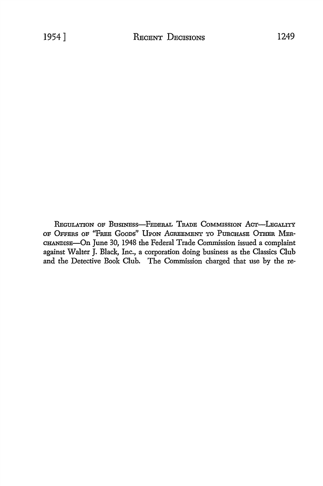REGULATION OF BUSINESS-FEDERAL TRADE COMMISSION ACT-LEGALITY OF OFFERS OF "FREE GOODS" UPON AGREEMENT TO PURCHASE OTHER MER-CHANDISE-On June 30, 1948 the Federal Trade Commission issued a complaint against Walter J. Black, Inc., a corporation doing business as the Classics Club and the Detective Book Club. The Commission charged that use by the re-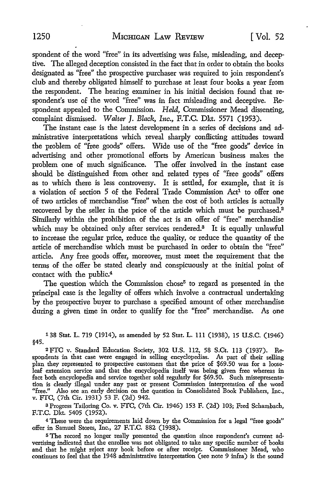spondent of the word "free" in its advertising was false, misleading, and deceptive. The alleged deception consisted in the fact that in order to obtain the books designated as "free" the prospective purchaser was required to join respondent's club and thereby obligated himself to purchase at least four books a year from the respondent. The hearing examiner in his initial decision found that respondent's use of the word "free" was in fact misleading and deceptive. Respondent appealed to the Commission. *Held,* Commissioner Mead dissenting, complaint dismissed. *Walter* J. *Black, Inc.,* F.T.C. Dkt. 5571 (1953).

The instant case is the latest development in a series of decisions and administrative interpretations which reveal sharply conflicting attitudes toward the problem of "free goods" offers. Wide use of the "free goods" device in advertising and other promotional efforts by American business makes the problem one of much significance. The offer involved in the instant case should be distinguished from other and related types of "free goods" offers as to which there is less controversy. It is settled, for example, that it is a violation of section 5 of the Federal Trade Commission Act<sup>1</sup> to offer one of two articles of merchandise "free'' when the cost of both articles is actually recovered by the seller in the price of the article which must be purchased.<sup>2</sup> Similarly within the prohibition of the act is an offer of "free" merchandise which may be obtained only after services rendered.<sup>3</sup> It is equally unlawful to increase the regular price, reduce the quality, or reduce the quantity of the article of merchandise which must be purchased in order to obtain the "free" article. Any free goods offer, moreover, must meet the requirement that the terms of the offer be stated clearly and conspicuously at the initial point of contact with the public.<sup>4</sup>

The question which the Commission chose<sup>5</sup> to regard as presented in the principal case is the legality of offers which involve a contractual undertaking by the prospective buyer to purchase a specified amount of other merchandise during a given time in order *to* qualify for the "free" merchandise. As one

138 Stat. L. 719 (1914), as amended by 52 Stat. L. 111 (1938), 15 U.S.C. (1946) §45.

2 FTC v. Standard Education Society, 302 U.S. 112, 58 S.Ct. 113 (1937). Respondents in that case were engaged in selling encyclopedias. *As* part of their selling plan they represented to prospective customers that the price of \$69.50 was for a looseleaf extension service and that the encyclopedia itself was being given free whereas in fact both encyclopedia and service together sold regularly for \$69.50. Such misrepresentation is clearly illegal under any past or present Commission interpretation of the word "free." Also see an early decision on the question in Consolidated Book Publishers, Inc., v. FTC, (7th Cir. 1931) 53 F. (2d) 942.

<sup>3</sup>Progress Tailoring Co. v. FTC, (7th Cir. 1946) 153 F. (2d) 103; Fred Schambach, F.T.C. Dkt. 5405 (1952).

4 These were the requirements laid down by the Commission for a legal "free goods" offer in Samuel Stores, Inc., 27 F.T.C. 882 (1938).

5 The record no longer really presented the question since respondent's current advertising indicated that the enrollee was not obligated to take any specific number of books and that he might reject any book before or after receipt. Commissioner Mead, who continues to feel that the 1948 administrative interpretation (see note 9 infra) is the sound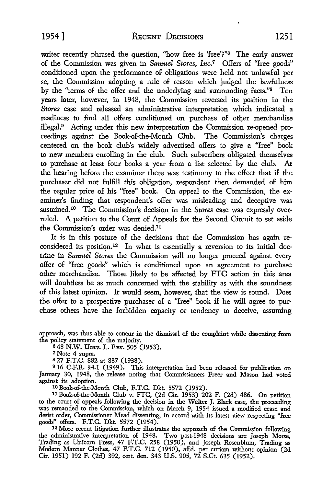writer recently phrased the question, "how free is 'free'?"<sup>6</sup> The early answer of the Commission was given in *Samuel Stores, Inc.1* Offers of "free goods" conditioned upon the performance of obligations were held not unlawful per se, the Commission adopting a rule of reason which judged the lawfulness by the "terms of the offer and the underlying and surrounding facts."8 Ten years later, however, in 1948, the Commission reversed its position in the *Stores* case and released an administrative interpretation which indicated a readiness to find all offers conditioned on purchase of other merchandise illegal.9 Acting under this new interpretation the Commission re-opened proceedings against the Book-of-the-Month Club. The Commission's charges centered on the book club's widely advertised offers to give a "free" book *to* new members enrolling in the club. Such subscribers obligated themselves to purchase at least four books a year from a list selected by the club. At the hearing before the examiner there was testimony to the effect that if the purchaser did not fulfill this obligation, respondent then demanded of him the regular price of his "free" book. On appeal *to* the Commission, the examiner's finding that respondent's offer was misleading and deceptive was sustained.10 The Commission's decision in the *Stores* case was expressly overruled. A petition to the Court of Appeals for the Second Circuit to set aside the Commission's order was denied.11

It is in this posture of the decisions that the Commission has again reconsidered its position.<sup>12</sup> In what is essentially a reversion to its initial doctrine in *Samuel Stores* the Commission will no longer proceed against every offer of "free goods" which is conditioned upon an agreement to purchase other merchandise. Those likely to be affected by FTC action in this area will doubtless be as much concerned with the stability as with the soundness of this latest opinion. It would seem, however, that the view is sound. Does the offer to a prospective purchaser of a "free'' book if he will agree to purchase others have the forbidden capacity or tendency to deceive, assuming

approach, was thus able to concur in the dismissal of the complaint while dissenting from the policy statement of the majority.

6 48 N.W. Umv. L. REv. 505 (1953).

7 Note 4 supra.

s 27 F.T.C. 882 at 887 (1938).

9 16 C.F.R. §4.1 (1949). This interpretation had been released for publication on January 30, 1948, the release noting that Commissioners Freer and Mason had voted against its adoption.

10 Book-of-the-Month Club, F.T.C. Dkt. 5572 (1952).

<sup>11</sup>Book-of-the-Month Club v. FTC, (2d Cir. 1953) 202 F. (2d) 486. On petition to the court of appeals following the decision in the Walter J. Black case, the proceeding was remanded to the Commission, which on March 9, 1954 issued a modified cease and desist order, Commissioner Mead dissenting, in accord with its latest view respecting "free goods" offers. F.T.C. Dkt. 5572 (1954).

12 More recent litigation further illustrates the approach of the Commission following the administrative interpretation of 1948. Two post-1948 decisions are Joseph Morse, Trading as Unicom Press, 47 F.T.C. 258 (1950), and Joseph Rosenblum, Trading as Modem Manner Clothes, 47 F.T.C. 712 (1950), affd. per curiam without opinion (2d Cir. 1951) 192 F. (2d) 392, cert. den. 343 U.S. 905, 72 S.Ct. 635 (1952).